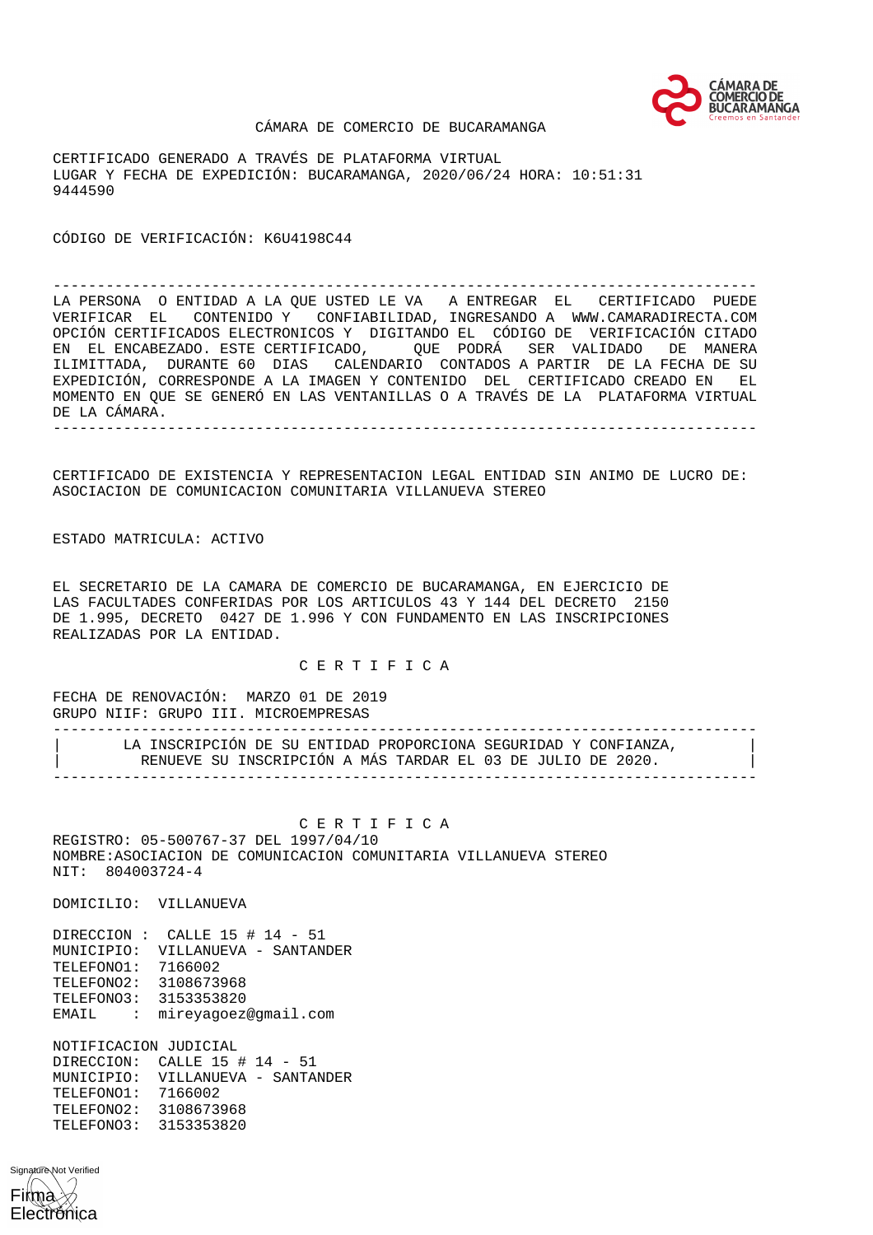

#### CÁMARA DE COMERCIO DE BUCARAMANGA

CERTIFICADO GENERADO A TRAVÉS DE PLATAFORMA VIRTUAL LUGAR Y FECHA DE EXPEDICIÓN: BUCARAMANGA, 2020/06/24 HORA: 10:51:31 9444590

CÓDIGO DE VERIFICACIÓN: K6U4198C44

-------------------------------------------------------------------------------- LA PERSONA O ENTIDAD A LA QUE USTED LE VA A ENTREGAR EL CERTIFICADO PUEDE VERIFICAR EL CONTENIDO Y CONFIABILIDAD, INGRESANDO A WWW.CAMARADIRECTA.COM OPCIÓN CERTIFICADOS ELECTRONICOS Y DIGITANDO EL CÓDIGO DE VERIFICACIÓN CITADO EN EL ENCABEZADO. ESTE CERTIFICADO, QUE PODRÁ SER VALIDADO DE MANERA ILIMITTADA, DURANTE 60 DIAS CALENDARIO CONTADOS A PARTIR DE LA FECHA DE SU EXPEDICIÓN, CORRESPONDE A LA IMAGEN Y CONTENIDO DEL CERTIFICADO CREADO EN EL MOMENTO EN QUE SE GENERÓ EN LAS VENTANILLAS O A TRAVÉS DE LA PLATAFORMA VIRTUAL DE LA CÁMARA. --------------------------------------------------------------------------------

CERTIFICADO DE EXISTENCIA Y REPRESENTACION LEGAL ENTIDAD SIN ANIMO DE LUCRO DE: ASOCIACION DE COMUNICACION COMUNITARIA VILLANUEVA STEREO

ESTADO MATRICULA: ACTIVO

EL SECRETARIO DE LA CAMARA DE COMERCIO DE BUCARAMANGA, EN EJERCICIO DE LAS FACULTADES CONFERIDAS POR LOS ARTICULOS 43 Y 144 DEL DECRETO 2150 DE 1.995, DECRETO 0427 DE 1.996 Y CON FUNDAMENTO EN LAS INSCRIPCIONES REALIZADAS POR LA ENTIDAD.

C E R T I F I C A

FECHA DE RENOVACIÓN: MARZO 01 DE 2019 GRUPO NIIF: GRUPO III. MICROEMPRESAS

-------------------------------------------------------------------------------- LA INSCRIPCIÓN DE SU ENTIDAD PROPORCIONA SEGURIDAD Y CONFIANZA, RENUEVE SU INSCRIPCIÓN A MÁS TARDAR EL 03 DE JULIO DE 2020. --------------------------------------------------------------------------------

 C E R T I F I C A REGISTRO: 05-500767-37 DEL 1997/04/10 NOMBRE:ASOCIACION DE COMUNICACION COMUNITARIA VILLANUEVA STEREO NIT: 804003724-4

DOMICILIO: VILLANUEVA

DIRECCION : CALLE 15 # 14 - 51 MUNICIPIO: VILLANUEVA - SANTANDER TELEFONO1: 7166002 TELEFONO2: 3108673968 TELEFONO3: 3153353820 EMAIL : mireyagoez@gmail.com

NOTIFICACION JUDICIAL DIRECCION: CALLE 15 # 14 - 51 MUNICIPIO: UILLANUEVA - SANTANDER<br>TELEFONO1: 7166002 TELEFONO1: TELEFONO2: 3108673968 TELEFONO3: 3153353820

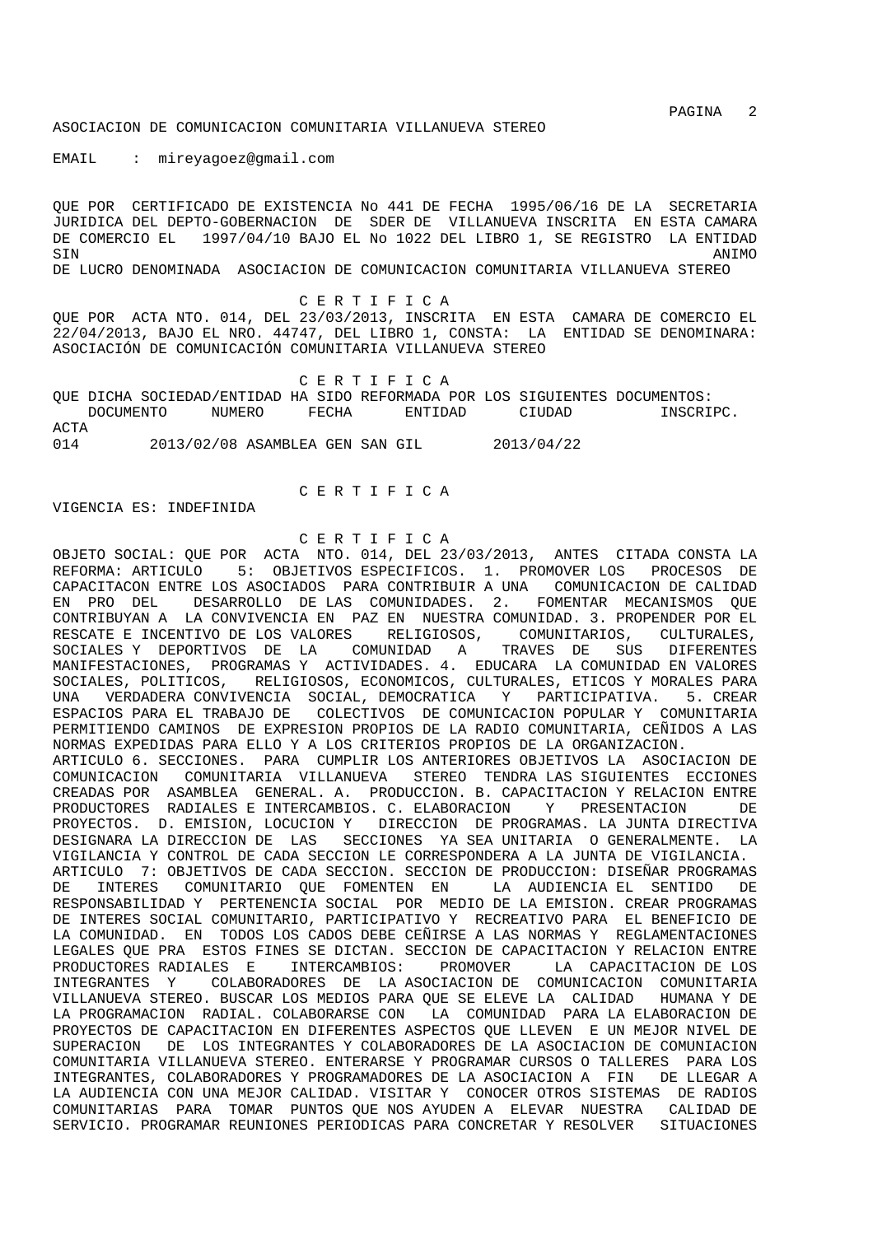PAGINA 2

### ASOCIACION DE COMUNICACION COMUNITARIA VILLANUEVA STEREO

EMAIL : mireyagoez@gmail.com

QUE POR CERTIFICADO DE EXISTENCIA No 441 DE FECHA 1995/06/16 DE LA SECRETARIA JURIDICA DEL DEPTO-GOBERNACION DE SDER DE VILLANUEVA INSCRITA EN ESTA CAMARA DE COMERCIO EL 1997/04/10 BAJO EL No 1022 DEL LIBRO 1, SE REGISTRO LA ENTIDAD SIN ANIMO DE LUCRO DENOMINADA ASOCIACION DE COMUNICACION COMUNITARIA VILLANUEVA STEREO

C E R T I F I C A

QUE POR ACTA NTO. 014, DEL 23/03/2013, INSCRITA EN ESTA CAMARA DE COMERCIO EL 22/04/2013, BAJO EL NRO. 44747, DEL LIBRO 1, CONSTA: LA ENTIDAD SE DENOMINARA: ASOCIACIÓN DE COMUNICACIÓN COMUNITARIA VILLANUEVA STEREO

 C E R T I F I C A QUE DICHA SOCIEDAD/ENTIDAD HA SIDO REFORMADA POR LOS SIGUIENTES DOCUMENTOS: DOCUMENTO NUMERO FECHA ENTIDAD CIUDAD INSCRIPC. ACTA 014 2013/02/08 ASAMBLEA GEN SAN GIL 2013/04/22

C E R T I F I C A

VIGENCIA ES: INDEFINIDA

C E R T I F I C A

OBJETO SOCIAL: QUE POR ACTA NTO. 014, DEL 23/03/2013, ANTES CITADA CONSTA LA REFORMA: ARTICULO 5: OBJETIVOS ESPECIFICOS. 1. PROMOVER LOS PROCESOS DE CAPACITACON ENTRE LOS ASOCIADOS PARA CONTRIBUIR A UNA COMUNICACION DE CALIDAD EN PRO DEL DESARROLLO DE LAS COMUNIDADES. 2. FOMENTAR MECANISMOS QUE CONTRIBUYAN A LA CONVIVENCIA EN PAZ EN NUESTRA COMUNIDAD. 3. PROPENDER POR EL RESCATE E INCENTIVO DE LOS VALORES RELIGIOSOS, COMUNITARIOS, CULTURALES, SOCIALES Y DEPORTIVOS DE LA COMUNIDAD A TRAVES DE SUS DIFERENTES MANIFESTACIONES, PROGRAMAS Y ACTIVIDADES. 4. EDUCARA LA COMUNIDAD EN VALORES SOCIALES, POLITICOS, RELIGIOSOS, ECONOMICOS, CULTURALES, ETICOS Y MORALES PARA UNA VERDADERA CONVIVENCIA SOCIAL, DEMOCRATICA Y PARTICIPATIVA. 5. CREAR ESPACIOS PARA EL TRABAJO DE COLECTIVOS DE COMUNICACION POPULAR Y COMUNITARIA PERMITIENDO CAMINOS DE EXPRESION PROPIOS DE LA RADIO COMUNITARIA, CEÑIDOS A LAS NORMAS EXPEDIDAS PARA ELLO Y A LOS CRITERIOS PROPIOS DE LA ORGANIZACION. ARTICULO 6. SECCIONES. PARA CUMPLIR LOS ANTERIORES OBJETIVOS LA ASOCIACION DE COMUNICACION COMUNITARIA VILLANUEVA STEREO TENDRA LAS SIGUIENTES ECCIONES CREADAS POR ASAMBLEA GENERAL. A. PRODUCCION. B. CAPACITACION Y RELACION ENTRE<br>PRODUCTORES RADIALES E INTERCAMBIOS C. ELABORACION - Y. PRESENTACION - DE PRODUCTORES RADIALES E INTERCAMBIOS. C. ELABORACION Y PRESENTACION PROYECTOS. D. EMISION, LOCUCION Y DIRECCION DE PROGRAMAS. LA JUNTA DIRECTIVA DESIGNARA LA DIRECCION DE LAS SECCIONES YA SEA UNITARIA O GENERALMENTE. LA VIGILANCIA Y CONTROL DE CADA SECCION LE CORRESPONDERA A LA JUNTA DE VIGILANCIA. ARTICULO 7: OBJETIVOS DE CADA SECCION. SECCION DE PRODUCCION: DISEÑAR PROGRAMAS DE INTERES COMUNITARIO QUE FOMENTEN EN LA AUDIENCIA EL SENTIDO DE RESPONSABILIDAD Y PERTENENCIA SOCIAL POR MEDIO DE LA EMISION. CREAR PROGRAMAS DE INTERES SOCIAL COMUNITARIO, PARTICIPATIVO Y RECREATIVO PARA EL BENEFICIO DE LA COMUNIDAD. EN TODOS LOS CADOS DEBE CEÑIRSE A LAS NORMAS Y REGLAMENTACIONES LEGALES QUE PRA ESTOS FINES SE DICTAN. SECCION DE CAPACITACION Y RELACION ENTRE PRODUCTORES RADIALES E INTERCAMBIOS: PROMOVER LA CAPACITACION DE LOS INTEGRANTES Y COLABORADORES DE LA ASOCIACION DE COMUNICACION COMUNITARIA VILLANUEVA STEREO. BUSCAR LOS MEDIOS PARA QUE SE ELEVE LA CALIDAD HUMANA Y DE LA PROGRAMACION RADIAL. COLABORARSE CON LA COMUNIDAD PARA LA ELABORACION DE PROYECTOS DE CAPACITACION EN DIFERENTES ASPECTOS QUE LLEVEN E UN MEJOR NIVEL DE SUPERACION DE LOS INTEGRANTES Y COLABORADORES DE LA ASOCIACION DE COMUNIACION COMUNITARIA VILLANUEVA STEREO. ENTERARSE Y PROGRAMAR CURSOS O TALLERES PARA LOS INTEGRANTES, COLABORADORES Y PROGRAMADORES DE LA ASOCIACION A FIN DE LLEGAR A LA AUDIENCIA CON UNA MEJOR CALIDAD. VISITAR Y CONOCER OTROS SISTEMAS DE RADIOS COMUNITARIAS PARA TOMAR PUNTOS QUE NOS AYUDEN A ELEVAR NUESTRA CALIDAD DE SERVICIO. PROGRAMAR REUNIONES PERIODICAS PARA CONCRETAR Y RESOLVER SITUACIONES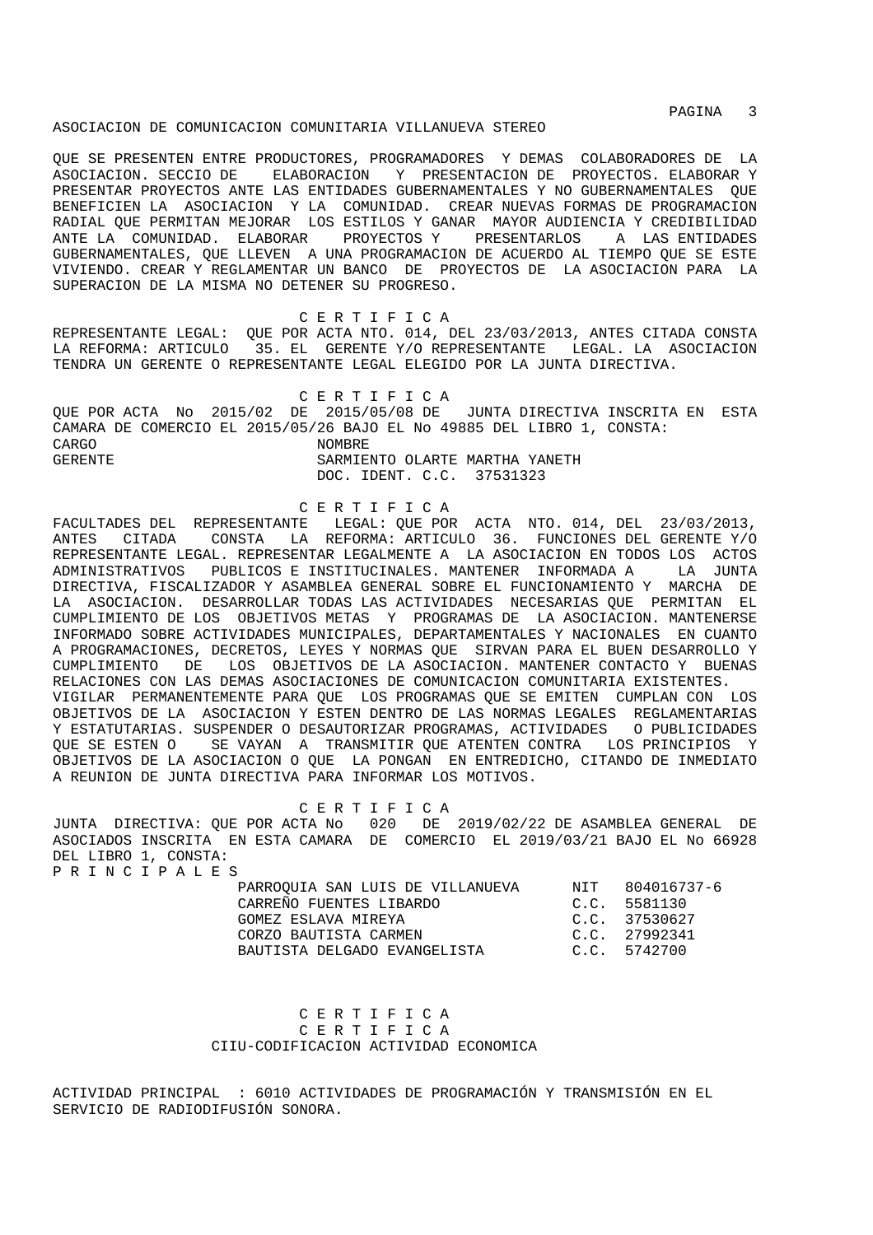PAGINA 3

#### ASOCIACION DE COMUNICACION COMUNITARIA VILLANUEVA STEREO

QUE SE PRESENTEN ENTRE PRODUCTORES, PROGRAMADORES Y DEMAS COLABORADORES DE LA ASOCIACION. SECCIO DE ELABORACION Y PRESENTACION DE PROYECTOS. ELABORAR Y PRESENTAR PROYECTOS ANTE LAS ENTIDADES GUBERNAMENTALES Y NO GUBERNAMENTALES QUE BENEFICIEN LA ASOCIACION Y LA COMUNIDAD. CREAR NUEVAS FORMAS DE PROGRAMACION RADIAL QUE PERMITAN MEJORAR LOS ESTILOS Y GANAR MAYOR AUDIENCIA Y CREDIBILIDAD ANTE LA COMUNIDAD. ELABORAR PROYECTOS Y PRESENTARLOS A LAS ENTIDADES GUBERNAMENTALES, QUE LLEVEN A UNA PROGRAMACION DE ACUERDO AL TIEMPO QUE SE ESTE VIVIENDO. CREAR Y REGLAMENTAR UN BANCO DE PROYECTOS DE LA ASOCIACION PARA LA SUPERACION DE LA MISMA NO DETENER SU PROGRESO.

 C E R T I F I C A REPRESENTANTE LEGAL: QUE POR ACTA NTO. 014, DEL 23/03/2013, ANTES CITADA CONSTA LA REFORMA: ARTICULO 35. EL GERENTE Y/O REPRESENTANTE LEGAL. LA ASOCIACION TENDRA UN GERENTE O REPRESENTANTE LEGAL ELEGIDO POR LA JUNTA DIRECTIVA.

 C E R T I F I C A QUE POR ACTA No 2015/02 DE 2015/05/08 DE JUNTA DIRECTIVA INSCRITA EN ESTA CAMARA DE COMERCIO EL 2015/05/26 BAJO EL No 49885 DEL LIBRO 1, CONSTA: CARGO NOMBRE GERENTE SARMIENTO OLARTE MARTHA YANETH DOC. IDENT. C.C. 37531323

# C E R T I F I C A

FACULTADES DEL REPRESENTANTE LEGAL: QUE POR ACTA NTO. 014, DEL 23/03/2013, ANTES CITADA CONSTA LA REFORMA: ARTICULO 36. FUNCIONES DEL GERENTE Y/O REPRESENTANTE LEGAL. REPRESENTAR LEGALMENTE A LA ASOCIACION EN TODOS LOS ACTOS ADMINISTRATIVOS PUBLICOS E INSTITUCINALES. MANTENER INFORMADA A LA JUNTA DIRECTIVA, FISCALIZADOR Y ASAMBLEA GENERAL SOBRE EL FUNCIONAMIENTO Y MARCHA DE LA ASOCIACION. DESARROLLAR TODAS LAS ACTIVIDADES NECESARIAS QUE PERMITAN EL CUMPLIMIENTO DE LOS OBJETIVOS METAS Y PROGRAMAS DE LA ASOCIACION. MANTENERSE INFORMADO SOBRE ACTIVIDADES MUNICIPALES, DEPARTAMENTALES Y NACIONALES EN CUANTO A PROGRAMACIONES, DECRETOS, LEYES Y NORMAS QUE SIRVAN PARA EL BUEN DESARROLLO Y CUMPLIMIENTO DE LOS OBJETIVOS DE LA ASOCIACION. MANTENER CONTACTO Y BUENAS RELACIONES CON LAS DEMAS ASOCIACIONES DE COMUNICACION COMUNITARIA EXISTENTES. VIGILAR PERMANENTEMENTE PARA QUE LOS PROGRAMAS QUE SE EMITEN CUMPLAN CON LOS OBJETIVOS DE LA ASOCIACION Y ESTEN DENTRO DE LAS NORMAS LEGALES REGLAMENTARIAS Y ESTATUTARIAS. SUSPENDER O DESAUTORIZAR PROGRAMAS, ACTIVIDADES O PUBLICIDADES QUE SE ESTEN O SE VAYAN A TRANSMITIR QUE ATENTEN CONTRA LOS PRINCIPIOS Y OBJETIVOS DE LA ASOCIACION O QUE LA PONGAN EN ENTREDICHO, CITANDO DE INMEDIATO A REUNION DE JUNTA DIRECTIVA PARA INFORMAR LOS MOTIVOS.

## C E R T I F I C A

JUNTA DIRECTIVA: QUE POR ACTA No 020 DE 2019/02/22 DE ASAMBLEA GENERAL DE ASOCIADOS INSCRITA EN ESTA CAMARA DE COMERCIO EL 2019/03/21 BAJO EL No 66928 DEL LIBRO 1, CONSTA: P R I N C I P A L E S

| PARROOUIA SAN LUIS DE VILLANUEVA | NIT 804016737-6 |
|----------------------------------|-----------------|
| CARREÑO FUENTES LIBARDO          | C.C. 5581130    |
| GOMEZ ESLAVA MIREYA              | C.C. 37530627   |
| CORZO BAUTISTA CARMEN            | C.C. 27992341   |
| BAUTISTA DELGADO EVANGELISTA     | C.C. 5742700    |

 C E R T I F I C A C E R T I F I C A CIIU-CODIFICACION ACTIVIDAD ECONOMICA

ACTIVIDAD PRINCIPAL : 6010 ACTIVIDADES DE PROGRAMACIÓN Y TRANSMISIÓN EN EL SERVICIO DE RADIODIFUSIÓN SONORA.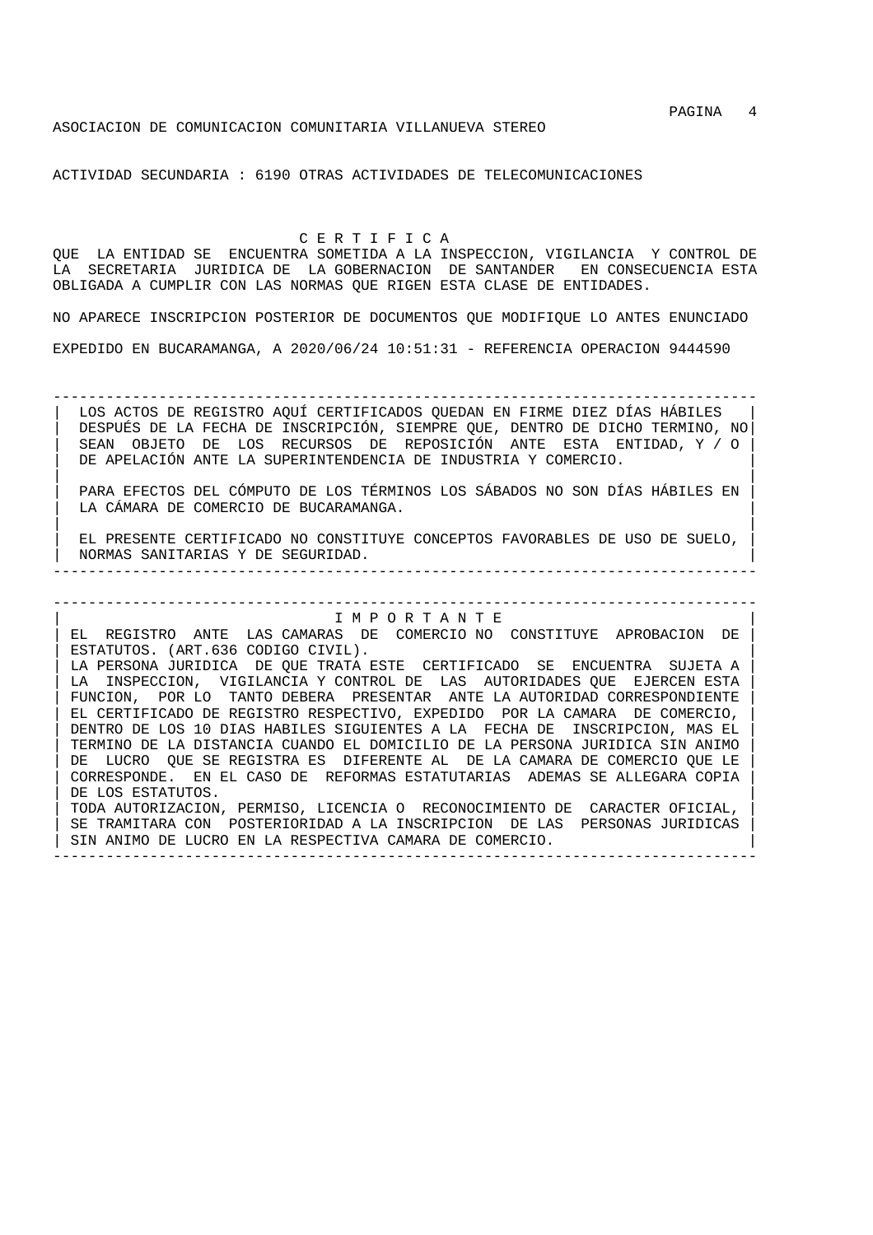### ASOCIACION DE COMUNICACION COMUNITARIA VILLANUEVA STEREO

ACTIVIDAD SECUNDARIA : 6190 OTRAS ACTIVIDADES DE TELECOMUNICACIONES

 C E R T I F I C A QUE LA ENTIDAD SE ENCUENTRA SOMETIDA A LA INSPECCION, VIGILANCIA Y CONTROL DE LA SECRETARIA JURIDICA DE LA GOBERNACION DE SANTANDER EN CONSECUENCIA ESTA OBLIGADA A CUMPLIR CON LAS NORMAS QUE RIGEN ESTA CLASE DE ENTIDADES.

NO APARECE INSCRIPCION POSTERIOR DE DOCUMENTOS QUE MODIFIQUE LO ANTES ENUNCIADO EXPEDIDO EN BUCARAMANGA, A 2020/06/24 10:51:31 - REFERENCIA OPERACION 9444590

--------------------------------------------------------------------------------

| LOS ACTOS DE REGISTRO AQUÍ CERTIFICADOS QUEDAN EN FIRME DIEZ DÍAS HÁBILES | | DESPUÉS DE LA FECHA DE INSCRIPCIÓN, SIEMPRE QUE, DENTRO DE DICHO TERMINO, NO| | SEAN OBJETO DE LOS RECURSOS DE REPOSICIÓN ANTE ESTA ENTIDAD, Y / O | DE APELACIÓN ANTE LA SUPERINTENDENCIA DE INDUSTRIA Y COMERCIO.

| | | PARA EFECTOS DEL CÓMPUTO DE LOS TÉRMINOS LOS SÁBADOS NO SON DÍAS HÁBILES EN | LA CÁMARA DE COMERCIO DE BUCARAMANGA.

| | EL PRESENTE CERTIFICADO NO CONSTITUYE CONCEPTOS FAVORABLES DE USO DE SUELO, | NORMAS SANITARIAS Y DE SEGURIDAD. | --------------------------------------------------------------------------------

# | I M P O R T A N T E |

--------------------------------------------------------------------------------

| EL REGISTRO ANTE LAS CAMARAS DE COMERCIO NO CONSTITUYE APROBACION DE | ESTATUTOS. (ART.636 CODIGO CIVIL). LA PERSONA JURIDICA DE QUE TRATA ESTE CERTIFICADO SE ENCUENTRA SUJETA A LA INSPECCION, VIGILANCIA Y CONTROL DE LAS AUTORIDADES QUE EJERCEN ESTA FUNCION, POR LO TANTO DEBERA PRESENTAR ANTE LA AUTORIDAD CORRESPONDIENTE | EL CERTIFICADO DE REGISTRO RESPECTIVO, EXPEDIDO POR LA CAMARA DE COMERCIO, | | DENTRO DE LOS 10 DIAS HABILES SIGUIENTES A LA FECHA DE INSCRIPCION, MAS EL | | TERMINO DE LA DISTANCIA CUANDO EL DOMICILIO DE LA PERSONA JURIDICA SIN ANIMO | DE LUCRO QUE SE REGISTRA ES DIFERENTE AL DE LA CAMARA DE COMERCIO QUE LE | CORRESPONDE. EN EL CASO DE REFORMAS ESTATUTARIAS ADEMAS SE ALLEGARA COPIA | DE LOS ESTATUTOS. | TODA AUTORIZACION, PERMISO, LICENCIA O RECONOCIMIENTO DE CARACTER OFICIAL, | SE TRAMITARA CON POSTERIORIDAD A LA INSCRIPCION DE LAS PERSONAS JURIDICAS SIN ANIMO DE LUCRO EN LA RESPECTIVA CAMARA DE COMERCIO.

--------------------------------------------------------------------------------